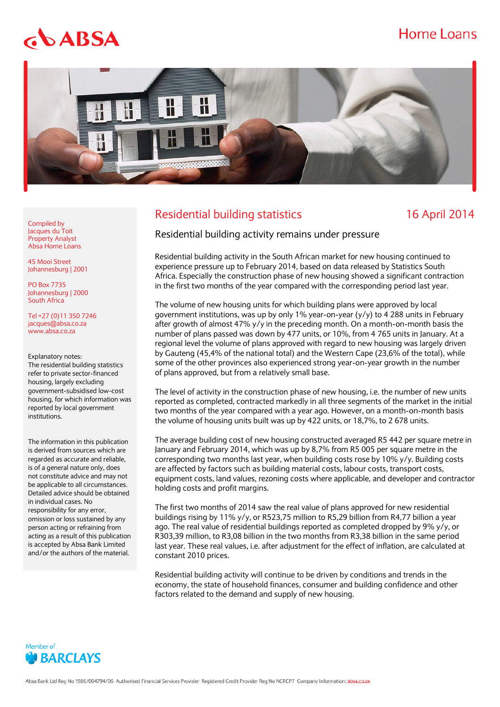## Home Loans

# $$

Compiled by Jacques du Toit Property Analyst Absa Home Loans 45 Mooi Street Johannesburg | 2001

PO Box 7735 Johannesburg | 2000 South Africa

Tel +27 (0)11 350 7246 jacques@absa.co.za [www.absa.co.za](http://www.absa.co.za/)

Explanatory notes:

institutions.

The residential building statistics refer to private sector-financed housing, largely excluding government-subsidised low-cost housing, for which information was reported by local government

The information in this publication is derived from sources which are regarded as accurate and reliable, is of a general nature only, does not constitute advice and may not be applicable to all circumstances. Detailed advice should be obtained

in individual cases. No responsibility for any error, omission or loss sustained by any person acting or refraining from acting as a result of this publication is accepted by Absa Bank Limited and/or the authors of the material.



### Residential building statistics 16 April 2014

Residential building activity remains under pressure

Residential building activity in the South African market for new housing continued to experience pressure up to February 2014, based on data released by Statistics South Africa. Especially the construction phase of new housing showed a significant contraction in the first two months of the year compared with the corresponding period last year.

The volume of new housing units for which building plans were approved by local government institutions, was up by only 1% year-on-year (y/y) to 4 288 units in February after growth of almost 47% y/y in the preceding month. On a month-on-month basis the number of plans passed was down by 477 units, or 10%, from 4 765 units in January. At a regional level the volume of plans approved with regard to new housing was largely driven by Gauteng (45,4% of the national total) and the Western Cape (23,6% of the total), while some of the other provinces also experienced strong year-on-year growth in the number of plans approved, but from a relatively small base.

The level of activity in the construction phase of new housing, i.e. the number of new units reported as completed, contracted markedly in all three segments of the market in the initial two months of the year compared with a year ago. However, on a month-on-month basis the volume of housing units built was up by 422 units, or 18,7%, to 2 678 units.

The average building cost of new housing constructed averaged R5 442 per square metre in January and February 2014, which was up by 8,7% from R5 005 per square metre in the corresponding two months last year, when building costs rose by 10% y/y. Building costs are affected by factors such as building material costs, labour costs, transport costs, equipment costs, land values, rezoning costs where applicable, and developer and contractor holding costs and profit margins.

The first two months of 2014 saw the real value of plans approved for new residential buildings rising by 11% y/y, or R523,75 million to R5,29 billion from R4,77 billion a year ago. The real value of residential buildings reported as completed dropped by 9% y/y, or R303,39 million, to R3,08 billion in the two months from R3,38 billion in the same period last year. These real values, i.e. after adjustment for the effect of inflation, are calculated at constant 2010 prices.

Residential building activity will continue to be driven by conditions and trends in the economy, the state of household finances, consumer and building confidence and other factors related to the demand and supply of new housing.

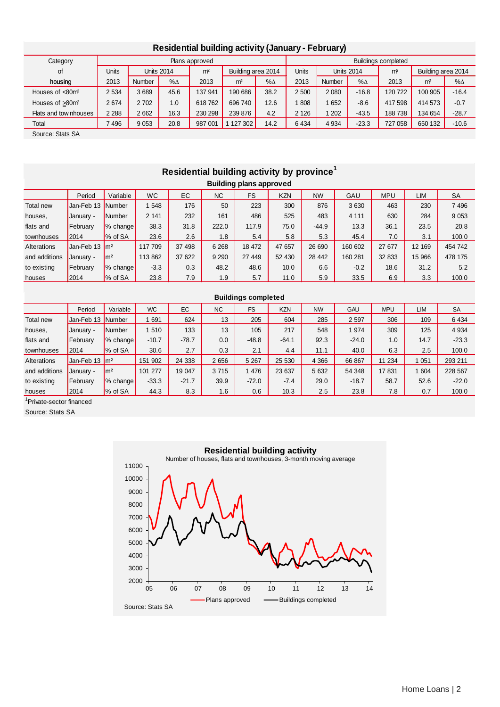| <b>Residential building activity (January - February)</b> |              |         |                   |                |                    |                     |              |                   |            |                |                    |            |
|-----------------------------------------------------------|--------------|---------|-------------------|----------------|--------------------|---------------------|--------------|-------------------|------------|----------------|--------------------|------------|
| Category                                                  |              |         |                   | Plans approved |                    | Buildings completed |              |                   |            |                |                    |            |
| of                                                        | <b>Units</b> |         | <b>Units 2014</b> | m <sup>2</sup> | Building area 2014 |                     | <b>Units</b> | <b>Units 2014</b> |            | m <sup>2</sup> | Building area 2014 |            |
| housing                                                   | 2013         | Number  | $% \Delta$        | 2013           | m <sup>2</sup>     | $% \triangle$       | 2013         | <b>Number</b>     | $% \Delta$ | 2013           | m <sup>2</sup>     | $% \Delta$ |
| Houses of $<80$ m <sup>2</sup>                            | 2 5 3 4      | 3689    | 45.6              | 137 941        | 190 686            | 38.2                | 2 500        | 2080              | $-16.8$    | 120 722        | 100 905            | $-16.4$    |
| Houses of >80m <sup>2</sup>                               | 2674         | 2 7 0 2 | 1.0               | 618762         | 696 740            | 12.6                | 808          | 652               | $-8.6$     | 417 598        | 414 573            | $-0.7$     |
| Flats and tow nhouses                                     | 2 2 8 8      | 2662    | 16.3              | 230 298        | 239 876            | 4.2                 | 2 1 2 6      | 202               | $-43.5$    | 188738         | 134 654            | $-28.7$    |
| Total                                                     | 7496         | 9 0 5 3 | 20.8              | 987 001        | 127 302            | 14.2                | 6434         | 4 9 34            | $-23.3$    | 727 058        | 650 132            | $-10.6$    |

Source: Stats SA

# **Residential building activity by province<sup>1</sup>**

| Building plans approved |                           |                    |           |        |           |        |            |           |         |            |            |           |
|-------------------------|---------------------------|--------------------|-----------|--------|-----------|--------|------------|-----------|---------|------------|------------|-----------|
|                         | Period                    | Variable           | <b>WC</b> | EC     | <b>NC</b> | FS     | <b>KZN</b> | <b>NW</b> | GAU     | <b>MPU</b> | <b>LIM</b> | <b>SA</b> |
| Total new               | Jan-Feb 13 Number         |                    | 548       | 176    | 50        | 223    | 300        | 876       | 3630    | 463        | 230        | 7496      |
| houses,                 | <b>January -</b>          | Number             | 2 1 4 1   | 232    | 161       | 486    | 525        | 483       | 4 1 1 1 | 630        | 284        | 9 0 5 3   |
| flats and               | February                  | % change           | 38.3      | 31.8   | 222.0     | 117.9  | 75.0       | $-44.9$   | 13.3    | 36.1       | 23.5       | 20.8      |
| townhouses              | 2014                      | % of SA            | 23.6      | 2.6    | 1.8       | 5.4    | 5.8        | 5.3       | 45.4    | 7.0        | 3.1        | 100.0     |
| Alterations             | Jan-Feb 13 m <sup>2</sup> |                    | 117 709   | 37 498 | 6 2 6 8   | 18 472 | 47 657     | 26 690    | 160 602 | 27 677     | 12 169     | 454 742   |
| and additions           | January -                 | $\mathsf{Im}^2$    | 113 862   | 37 622 | 9 2 9 0   | 27 449 | 52 430     | 28 442    | 160 281 | 32 833     | 15 966     | 478 175   |
| to existing             | February                  | $\sqrt{\%}$ change | $-3.3$    | 0.3    | 48.2      | 48.6   | 10.0       | 6.6       | $-0.2$  | 18.6       | 31.2       | 5.2       |
| houses                  | 2014                      | % of SA            | 23.8      | 7.9    | 1.9       | 5.7    | 11.0       | 5.9       | 33.5    | 6.9        | 3.3        | 100.0     |

| <b>Buildings completed</b> |                            |                      |           |         |           |           |            |           |            |            |         |           |
|----------------------------|----------------------------|----------------------|-----------|---------|-----------|-----------|------------|-----------|------------|------------|---------|-----------|
|                            | Period                     | Variable             | <b>WC</b> | EC      | <b>NC</b> | <b>FS</b> | <b>KZN</b> | <b>NW</b> | <b>GAU</b> | <b>MPU</b> | LIM     | <b>SA</b> |
| Total new                  | Jan-Feb 13                 | <b>Number</b>        | 691       | 624     | 13        | 205       | 604        | 285       | 2 5 9 7    | 306        | 109     | 6 4 3 4   |
| houses,                    | January -                  | Number               | 510       | 133     | 13        | 105       | 217        | 548       | 1 974      | 309        | 125     | 4 9 34    |
| flats and                  | February                   | $\frac{1}{6}$ change | $-10.7$   | $-78.7$ | 0.0       | $-48.8$   | $-64.1$    | 92.3      | $-24.0$    | 1.0        | 14.7    | $-23.3$   |
| townhouses                 | 2014                       | % of SA              | 30.6      | 2.7     | 0.3       | 2.1       | 4.4        | 11.1      | 40.0       | 6.3        | 2.5     | 100.0     |
| Alterations                | Jan-Feb 13 Im <sup>2</sup> |                      | 151 902   | 24 3 38 | 2656      | 5 2 6 7   | 25 530     | 4 3 6 6   | 66 867     | 11 234     | 1 0 5 1 | 293 211   |
| and additions              | January -                  | $\mathsf{Im}^2$      | 101 277   | 19 047  | 3715      | 1476      | 23 637     | 5 6 3 2   | 54 348     | 17831      | 1 604   | 228 567   |
| to existing                | February                   | % change             | $-33.3$   | $-21.7$ | 39.9      | $-72.0$   | $-7.4$     | 29.0      | $-18.7$    | 58.7       | 52.6    | $-22.0$   |
| houses                     | 2014                       | % of SA              | 44.3      | 8.3     | 1.6       | 0.6       | 10.3       | 2.5       | 23.8       | 7.8        | 0.7     | 100.0     |

<sup>1</sup>Private-sector financed

Source: Stats SA

### **Residential building activity**



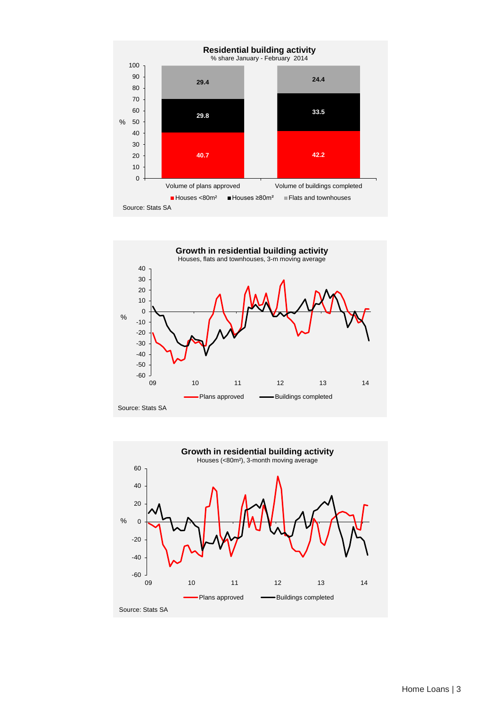